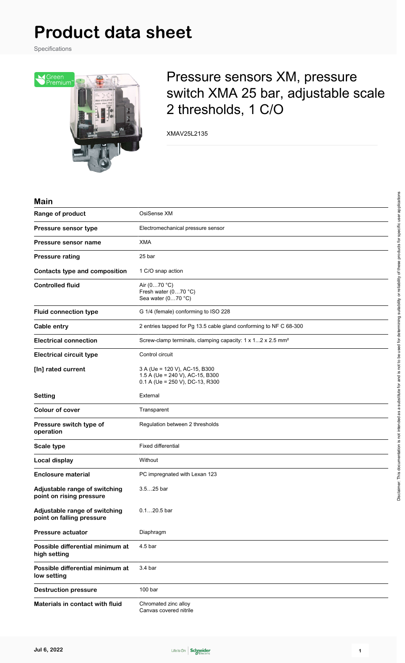Specifications



## Pressure sensors XM, pressure switch XMA 25 bar, adjustable scale 2 thresholds, 1 C/O

XMAV25L2135

#### **Main**

| Range of product                                           | OsiSense XM                                                                                         |
|------------------------------------------------------------|-----------------------------------------------------------------------------------------------------|
| Pressure sensor type                                       | Electromechanical pressure sensor                                                                   |
| Pressure sensor name                                       | <b>XMA</b>                                                                                          |
| <b>Pressure rating</b>                                     | 25 bar                                                                                              |
| <b>Contacts type and composition</b>                       | 1 C/O snap action                                                                                   |
| <b>Controlled fluid</b>                                    | Air (070 °C)<br>Fresh water (070 °C)<br>Sea water (070 °C)                                          |
| <b>Fluid connection type</b>                               | G 1/4 (female) conforming to ISO 228                                                                |
| Cable entry                                                | 2 entries tapped for Pg 13.5 cable gland conforming to NF C 68-300                                  |
| <b>Electrical connection</b>                               | Screw-clamp terminals, clamping capacity: 1 x 12 x 2.5 mm <sup>2</sup>                              |
| <b>Electrical circuit type</b>                             | Control circuit                                                                                     |
| [In] rated current                                         | 3 A (Ue = 120 V), AC-15, B300<br>1.5 A (Ue = 240 V), AC-15, B300<br>0.1 A (Ue = 250 V), DC-13, R300 |
| <b>Setting</b>                                             | External                                                                                            |
| <b>Colour of cover</b>                                     | Transparent                                                                                         |
| Pressure switch type of<br>operation                       | Regulation between 2 thresholds                                                                     |
| Scale type                                                 | <b>Fixed differential</b>                                                                           |
| Local display                                              | Without                                                                                             |
| <b>Enclosure material</b>                                  | PC impregnated with Lexan 123                                                                       |
| Adjustable range of switching<br>point on rising pressure  | $3.525$ bar                                                                                         |
| Adjustable range of switching<br>point on falling pressure | $0.120.5$ bar                                                                                       |
| <b>Pressure actuator</b>                                   | Diaphragm                                                                                           |
| Possible differential minimum at<br>high setting           | 4.5 bar                                                                                             |
| Possible differential minimum at<br>low setting            | 3.4 <sub>bar</sub>                                                                                  |
| <b>Destruction pressure</b>                                | 100 bar                                                                                             |
| Materials in contact with fluid                            | Chromated zinc alloy<br>Canvas covered nitrile                                                      |

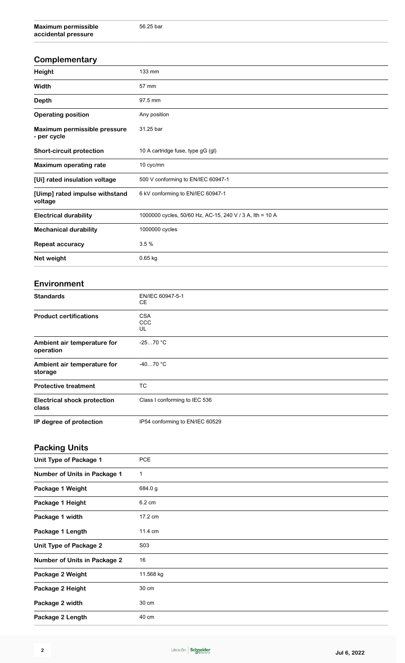| Complementary                               |                                                          |
|---------------------------------------------|----------------------------------------------------------|
| Height                                      | 133 mm                                                   |
| Width                                       | 57 mm                                                    |
| Depth                                       | 97.5 mm                                                  |
| <b>Operating position</b>                   | Any position                                             |
| Maximum permissible pressure<br>- per cycle | 31.25 bar                                                |
| <b>Short-circuit protection</b>             | 10 A cartridge fuse, type gG (gl)                        |
| <b>Maximum operating rate</b>               | 10 cyc/mn                                                |
| [Ui] rated insulation voltage               | 500 V conforming to EN/IEC 60947-1                       |
| [Uimp] rated impulse withstand<br>voltage   | 6 kV conforming to EN/IEC 60947-1                        |
| <b>Electrical durability</b>                | 1000000 cycles, 50/60 Hz, AC-15, 240 V / 3 A, lth = 10 A |
| <b>Mechanical durability</b>                | 1000000 cycles                                           |
| <b>Repeat accuracy</b>                      | 3.5%                                                     |
| Net weight                                  | $0.65$ kg                                                |

#### **Environment**

| <b>Standards</b>                            | EN/IEC 60947-5-1<br>CE.         |
|---------------------------------------------|---------------------------------|
| <b>Product certifications</b>               | <b>CSA</b><br>CCC<br>UL         |
| Ambient air temperature for<br>operation    | $-2570 °C$                      |
| Ambient air temperature for<br>storage      | $-4070$ °C                      |
| <b>Protective treatment</b>                 | <b>TC</b>                       |
| <b>Electrical shock protection</b><br>class | Class I conforming to IEC 536   |
| IP degree of protection                     | IP54 conforming to EN/IEC 60529 |

## **Packing Units**

| Unit Type of Package 1              | <b>PCE</b> |
|-------------------------------------|------------|
| Number of Units in Package 1        | 1          |
| Package 1 Weight                    | 684.0 g    |
| Package 1 Height                    | 6.2 cm     |
| Package 1 width                     | 17.2 cm    |
| Package 1 Length                    | 11.4 cm    |
| Unit Type of Package 2              | S03        |
| <b>Number of Units in Package 2</b> | 16         |
| Package 2 Weight                    | 11.568 kg  |
| Package 2 Height                    | 30 cm      |
| Package 2 width                     | 30 cm      |
| Package 2 Length                    | 40 cm      |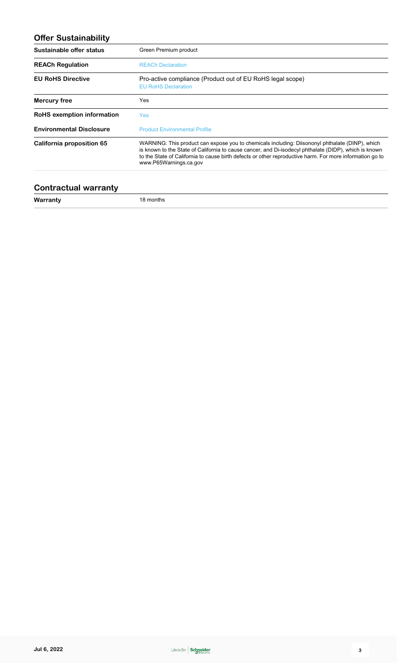## **Offer Sustainability**

| Sustainable offer status        | Green Premium product                                                                                                                                                                                                                                                                                                                          |
|---------------------------------|------------------------------------------------------------------------------------------------------------------------------------------------------------------------------------------------------------------------------------------------------------------------------------------------------------------------------------------------|
| <b>REACh Regulation</b>         | <b>REACh Declaration</b>                                                                                                                                                                                                                                                                                                                       |
| <b>EU RoHS Directive</b>        | Pro-active compliance (Product out of EU RoHS legal scope)<br><b>EU RoHS Declaration</b>                                                                                                                                                                                                                                                       |
| Mercury free                    | Yes                                                                                                                                                                                                                                                                                                                                            |
| RoHS exemption information      | <b>Yes</b>                                                                                                                                                                                                                                                                                                                                     |
| <b>Environmental Disclosure</b> | <b>Product Environmental Profile</b>                                                                                                                                                                                                                                                                                                           |
| California proposition 65       | WARNING: This product can expose you to chemicals including: Diisononyl phthalate (DINP), which<br>is known to the State of California to cause cancer, and Di-isodecyl phthalate (DIDP), which is known<br>to the State of California to cause birth defects or other reproductive harm. For more information go to<br>www.P65Warnings.ca.gov |

#### **Contractual warranty**

**Warranty** 18 months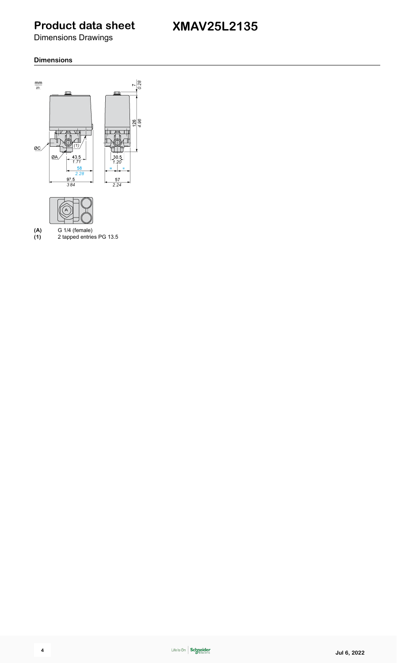**XMAV25L2135**

Dimensions Drawings

#### **Dimensions**



**(1)** 2 tapped entries PG 13.5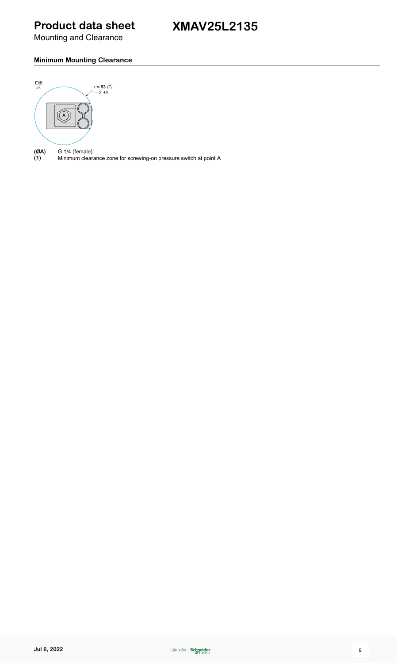Mounting and Clearance

### **Minimum Mounting Clearance**



**(ØA)** G 1/4 (female) **(1)** Minimum clearance zone for screwing-on pressure switch at point A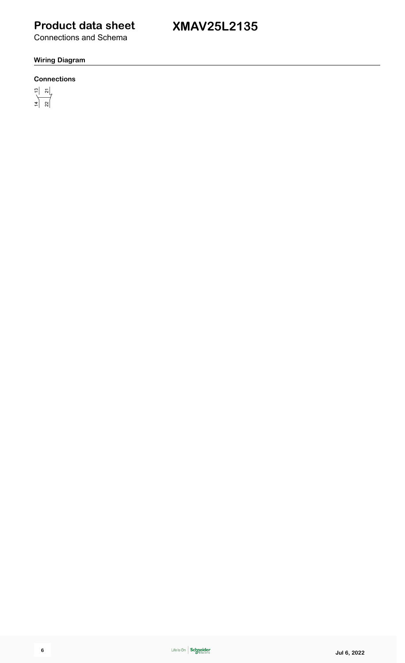Connections and Schema

#### **Wiring Diagram**